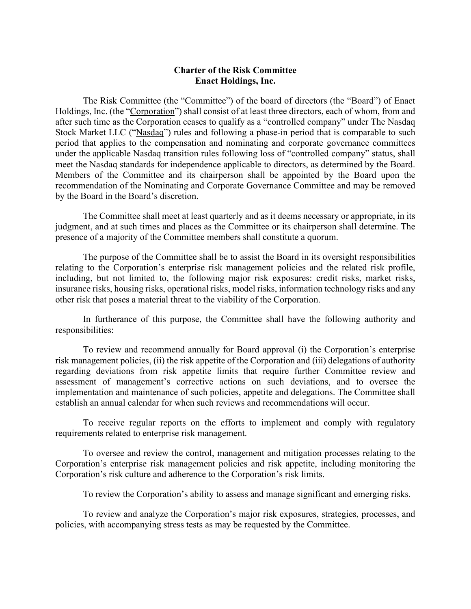## **Charter of the Risk Committee Enact Holdings, Inc.**

The Risk Committee (the "Committee") of the board of directors (the "Board") of Enact Holdings, Inc. (the "Corporation") shall consist of at least three directors, each of whom, from and after such time as the Corporation ceases to qualify as a "controlled company" under The Nasdaq Stock Market LLC ("Nasdaq") rules and following a phase-in period that is comparable to such period that applies to the compensation and nominating and corporate governance committees under the applicable Nasdaq transition rules following loss of "controlled company" status, shall meet the Nasdaq standards for independence applicable to directors, as determined by the Board. Members of the Committee and its chairperson shall be appointed by the Board upon the recommendation of the Nominating and Corporate Governance Committee and may be removed by the Board in the Board's discretion.

The Committee shall meet at least quarterly and as it deems necessary or appropriate, in its judgment, and at such times and places as the Committee or its chairperson shall determine. The presence of a majority of the Committee members shall constitute a quorum.

The purpose of the Committee shall be to assist the Board in its oversight responsibilities relating to the Corporation's enterprise risk management policies and the related risk profile, including, but not limited to, the following major risk exposures: credit risks, market risks, insurance risks, housing risks, operational risks, model risks, information technology risks and any other risk that poses a material threat to the viability of the Corporation.

In furtherance of this purpose, the Committee shall have the following authority and responsibilities:

To review and recommend annually for Board approval (i) the Corporation's enterprise risk management policies, (ii) the risk appetite of the Corporation and (iii) delegations of authority regarding deviations from risk appetite limits that require further Committee review and assessment of management's corrective actions on such deviations, and to oversee the implementation and maintenance of such policies, appetite and delegations. The Committee shall establish an annual calendar for when such reviews and recommendations will occur.

To receive regular reports on the efforts to implement and comply with regulatory requirements related to enterprise risk management.

To oversee and review the control, management and mitigation processes relating to the Corporation's enterprise risk management policies and risk appetite, including monitoring the Corporation's risk culture and adherence to the Corporation's risk limits.

To review the Corporation's ability to assess and manage significant and emerging risks.

To review and analyze the Corporation's major risk exposures, strategies, processes, and policies, with accompanying stress tests as may be requested by the Committee.